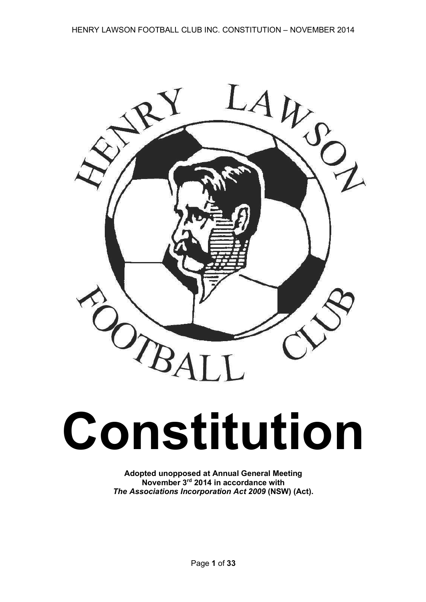

# **Constitution**

**Adopted unopposed at Annual General Meeting November 3rd 2014 in accordance with** *The Associations Incorporation Act 2009* **(NSW) (Act).**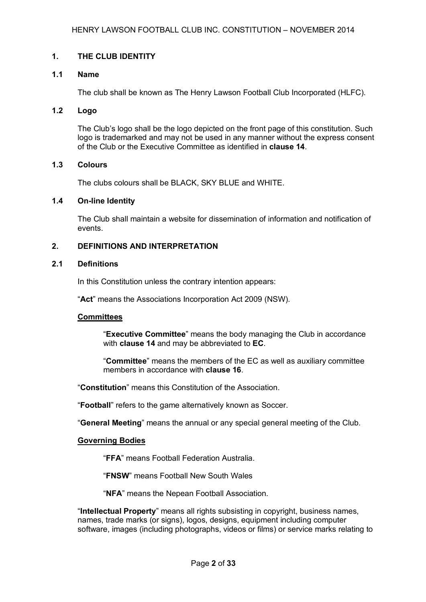## **1. THE CLUB IDENTITY**

## **1.1 Name**

The club shall be known as The Henry Lawson Football Club Incorporated (HLFC).

#### **1.2 Logo**

The Club's logo shall be the logo depicted on the front page of this constitution. Such logo is trademarked and may not be used in any manner without the express consent of the Club or the Executive Committee as identified in **clause 14**.

## **1.3 Colours**

The clubs colours shall be BLACK, SKY BLUE and WHITE.

#### **1.4 On-line Identity**

The Club shall maintain a website for dissemination of information and notification of events.

## **2. DEFINITIONS AND INTERPRETATION**

#### **2.1 Definitions**

In this Constitution unless the contrary intention appears:

"**Act**" means the Associations Incorporation Act 2009 (NSW).

#### **Committees**

"**Executive Committee**" means the body managing the Club in accordance with **clause 14** and may be abbreviated to **EC**.

"**Committee**" means the members of the EC as well as auxiliary committee members in accordance with **clause 16**.

"**Constitution**" means this Constitution of the Association.

"**Football**" refers to the game alternatively known as Soccer.

"**General Meeting**" means the annual or any special general meeting of the Club.

#### **Governing Bodies**

"**FFA**" means Football Federation Australia.

"**FNSW**" means Football New South Wales

"**NFA**" means the Nepean Football Association.

"**Intellectual Property**" means all rights subsisting in copyright, business names, names, trade marks (or signs), logos, designs, equipment including computer software, images (including photographs, videos or films) or service marks relating to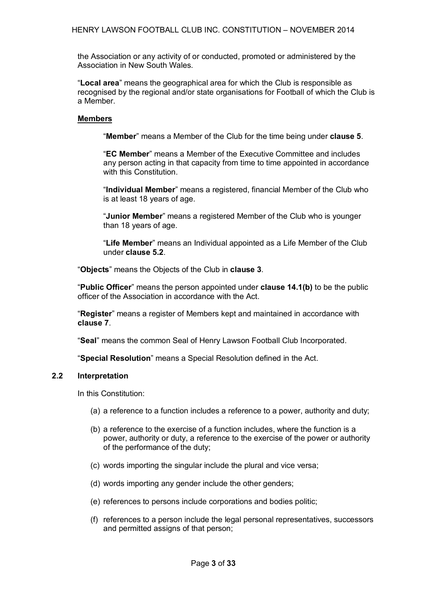the Association or any activity of or conducted, promoted or administered by the Association in New South Wales.

"**Local area**" means the geographical area for which the Club is responsible as recognised by the regional and/or state organisations for Football of which the Club is a Member.

## **Members**

"**Member**" means a Member of the Club for the time being under **clause 5**.

"**EC Member**" means a Member of the Executive Committee and includes any person acting in that capacity from time to time appointed in accordance with this Constitution.

"**Individual Member**" means a registered, financial Member of the Club who is at least 18 years of age.

"**Junior Member**" means a registered Member of the Club who is younger than 18 years of age.

"**Life Member**" means an Individual appointed as a Life Member of the Club under **clause 5.2**.

"**Objects**" means the Objects of the Club in **clause 3**.

"**Public Officer**" means the person appointed under **clause 14.1(b)** to be the public officer of the Association in accordance with the Act.

"**Register**" means a register of Members kept and maintained in accordance with **clause 7**.

"**Seal**" means the common Seal of Henry Lawson Football Club Incorporated.

"**Special Resolution**" means a Special Resolution defined in the Act.

## **2.2 Interpretation**

In this Constitution:

- (a) a reference to a function includes a reference to a power, authority and duty;
- (b) a reference to the exercise of a function includes, where the function is a power, authority or duty, a reference to the exercise of the power or authority of the performance of the duty;
- (c) words importing the singular include the plural and vice versa;
- (d) words importing any gender include the other genders;
- (e) references to persons include corporations and bodies politic;
- (f) references to a person include the legal personal representatives, successors and permitted assigns of that person;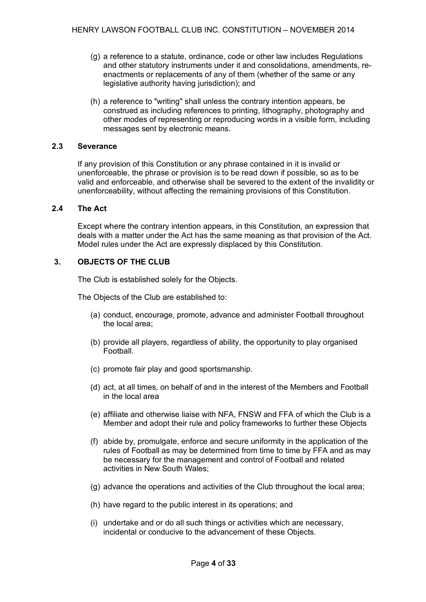- (g) a reference to a statute, ordinance, code or other law includes Regulations and other statutory instruments under it and consolidations, amendments, reenactments or replacements of any of them (whether of the same or any legislative authority having jurisdiction); and
- (h) a reference to "writing" shall unless the contrary intention appears, be construed as including references to printing, lithography, photography and other modes of representing or reproducing words in a visible form, including messages sent by electronic means.

## **2.3 Severance**

If any provision of this Constitution or any phrase contained in it is invalid or unenforceable, the phrase or provision is to be read down if possible, so as to be valid and enforceable, and otherwise shall be severed to the extent of the invalidity or unenforceability, without affecting the remaining provisions of this Constitution.

#### **2.4 The Act**

Except where the contrary intention appears, in this Constitution, an expression that deals with a matter under the Act has the same meaning as that provision of the Act. Model rules under the Act are expressly displaced by this Constitution.

## **3. OBJECTS OF THE CLUB**

The Club is established solely for the Objects.

The Objects of the Club are established to:

- (a) conduct, encourage, promote, advance and administer Football throughout the local area;
- (b) provide all players, regardless of ability, the opportunity to play organised Football.
- (c) promote fair play and good sportsmanship.
- (d) act, at all times, on behalf of and in the interest of the Members and Football in the local area
- (e) affiliate and otherwise liaise with NFA, FNSW and FFA of which the Club is a Member and adopt their rule and policy frameworks to further these Objects
- (f) abide by, promulgate, enforce and secure uniformity in the application of the rules of Football as may be determined from time to time by FFA and as may be necessary for the management and control of Football and related activities in New South Wales;
- (g) advance the operations and activities of the Club throughout the local area;
- (h) have regard to the public interest in its operations; and
- (i) undertake and or do all such things or activities which are necessary, incidental or conducive to the advancement of these Objects.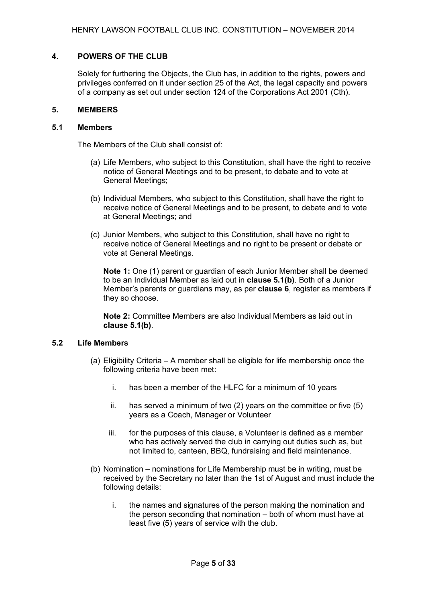#### **4. POWERS OF THE CLUB**

Solely for furthering the Objects, the Club has, in addition to the rights, powers and privileges conferred on it under section 25 of the Act, the legal capacity and powers of a company as set out under section 124 of the Corporations Act 2001 (Cth).

#### **5. MEMBERS**

#### **5.1 Members**

The Members of the Club shall consist of:

- (a) Life Members, who subject to this Constitution, shall have the right to receive notice of General Meetings and to be present, to debate and to vote at General Meetings;
- (b) Individual Members, who subject to this Constitution, shall have the right to receive notice of General Meetings and to be present, to debate and to vote at General Meetings; and
- (c) Junior Members, who subject to this Constitution, shall have no right to receive notice of General Meetings and no right to be present or debate or vote at General Meetings.

**Note 1:** One (1) parent or guardian of each Junior Member shall be deemed to be an Individual Member as laid out in **clause 5.1(b)**. Both of a Junior Member's parents or guardians may, as per **clause 6**, register as members if they so choose.

**Note 2:** Committee Members are also Individual Members as laid out in **clause 5.1(b)**.

#### **5.2 Life Members**

- (a) Eligibility Criteria A member shall be eligible for life membership once the following criteria have been met:
	- i. has been a member of the HLFC for a minimum of 10 years
	- ii. has served a minimum of two (2) years on the committee or five (5) years as a Coach, Manager or Volunteer
	- iii. for the purposes of this clause, a Volunteer is defined as a member who has actively served the club in carrying out duties such as, but not limited to, canteen, BBQ, fundraising and field maintenance.
- (b) Nomination nominations for Life Membership must be in writing, must be received by the Secretary no later than the 1st of August and must include the following details:
	- i. the names and signatures of the person making the nomination and the person seconding that nomination – both of whom must have at least five (5) years of service with the club.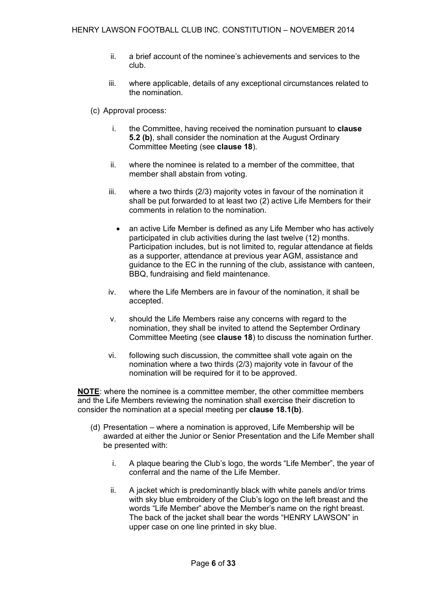- ii. a brief account of the nominee's achievements and services to the club.
- iii. where applicable, details of any exceptional circumstances related to the nomination.
- (c) Approval process:
	- i. the Committee, having received the nomination pursuant to **clause 5.2 (b)**, shall consider the nomination at the August Ordinary Committee Meeting (see **clause 18**).
	- ii. where the nominee is related to a member of the committee, that member shall abstain from voting.
	- iii. where a two thirds (2/3) majority votes in favour of the nomination it shall be put forwarded to at least two (2) active Life Members for their comments in relation to the nomination.
		- an active Life Member is defined as any Life Member who has actively participated in club activities during the last twelve (12) months. Participation includes, but is not limited to, regular attendance at fields as a supporter, attendance at previous year AGM, assistance and guidance to the EC in the running of the club, assistance with canteen, BBQ, fundraising and field maintenance.
	- iv. where the Life Members are in favour of the nomination, it shall be accepted.
	- v. should the Life Members raise any concerns with regard to the nomination, they shall be invited to attend the September Ordinary Committee Meeting (see **clause 18**) to discuss the nomination further.
	- vi. following such discussion, the committee shall vote again on the nomination where a two thirds (2/3) majority vote in favour of the nomination will be required for it to be approved.

**NOTE**: where the nominee is a committee member, the other committee members and the Life Members reviewing the nomination shall exercise their discretion to consider the nomination at a special meeting per **clause 18.1(b)**.

- (d) Presentation where a nomination is approved, Life Membership will be awarded at either the Junior or Senior Presentation and the Life Member shall be presented with:
	- i. A plaque bearing the Club's logo, the words "Life Member", the year of conferral and the name of the Life Member.
	- ii. A jacket which is predominantly black with white panels and/or trims with sky blue embroidery of the Club's logo on the left breast and the words "Life Member" above the Member's name on the right breast. The back of the jacket shall bear the words "HENRY LAWSON" in upper case on one line printed in sky blue.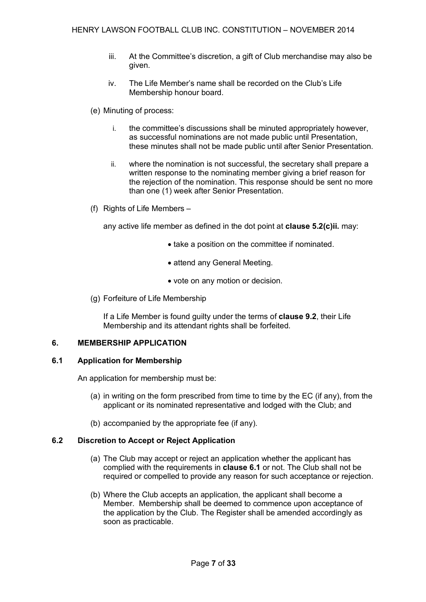- iii. At the Committee's discretion, a gift of Club merchandise may also be given.
- iv. The Life Member's name shall be recorded on the Club's Life Membership honour board.
- (e) Minuting of process:
	- i. the committee's discussions shall be minuted appropriately however, as successful nominations are not made public until Presentation, these minutes shall not be made public until after Senior Presentation.
	- ii. where the nomination is not successful, the secretary shall prepare a written response to the nominating member giving a brief reason for the rejection of the nomination. This response should be sent no more than one (1) week after Senior Presentation.
- (f) Rights of Life Members –

any active life member as defined in the dot point at **clause 5.2(c)ii.** may:

- take a position on the committee if nominated.
- attend any General Meeting.
- vote on any motion or decision.
- (g) Forfeiture of Life Membership

If a Life Member is found guilty under the terms of **clause 9.2**, their Life Membership and its attendant rights shall be forfeited.

## **6. MEMBERSHIP APPLICATION**

## **6.1 Application for Membership**

An application for membership must be:

- (a) in writing on the form prescribed from time to time by the EC (if any), from the applicant or its nominated representative and lodged with the Club; and
- (b) accompanied by the appropriate fee (if any).

## **6.2 Discretion to Accept or Reject Application**

- (a) The Club may accept or reject an application whether the applicant has complied with the requirements in **clause 6.1** or not. The Club shall not be required or compelled to provide any reason for such acceptance or rejection.
- (b) Where the Club accepts an application, the applicant shall become a Member. Membership shall be deemed to commence upon acceptance of the application by the Club. The Register shall be amended accordingly as soon as practicable.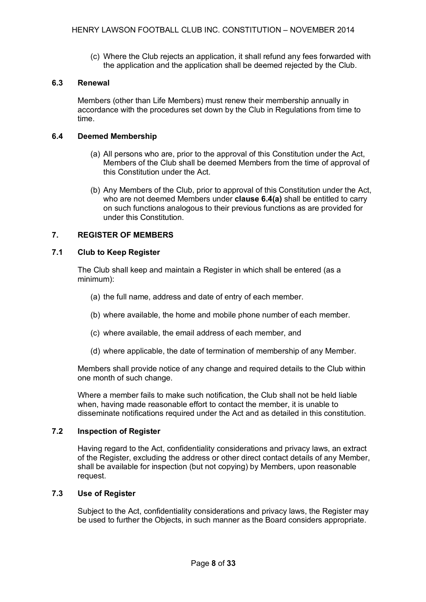(c) Where the Club rejects an application, it shall refund any fees forwarded with the application and the application shall be deemed rejected by the Club.

## **6.3 Renewal**

Members (other than Life Members) must renew their membership annually in accordance with the procedures set down by the Club in Regulations from time to time.

#### **6.4 Deemed Membership**

- (a) All persons who are, prior to the approval of this Constitution under the Act, Members of the Club shall be deemed Members from the time of approval of this Constitution under the Act.
- (b) Any Members of the Club, prior to approval of this Constitution under the Act, who are not deemed Members under **clause 6.4(a)** shall be entitled to carry on such functions analogous to their previous functions as are provided for under this Constitution.

## **7. REGISTER OF MEMBERS**

## **7.1 Club to Keep Register**

The Club shall keep and maintain a Register in which shall be entered (as a minimum):

- (a) the full name, address and date of entry of each member.
- (b) where available, the home and mobile phone number of each member.
- (c) where available, the email address of each member, and
- (d) where applicable, the date of termination of membership of any Member.

Members shall provide notice of any change and required details to the Club within one month of such change.

Where a member fails to make such notification, the Club shall not be held liable when, having made reasonable effort to contact the member, it is unable to disseminate notifications required under the Act and as detailed in this constitution.

## **7.2 Inspection of Register**

Having regard to the Act, confidentiality considerations and privacy laws, an extract of the Register, excluding the address or other direct contact details of any Member, shall be available for inspection (but not copying) by Members, upon reasonable request.

## **7.3 Use of Register**

Subject to the Act, confidentiality considerations and privacy laws, the Register may be used to further the Objects, in such manner as the Board considers appropriate.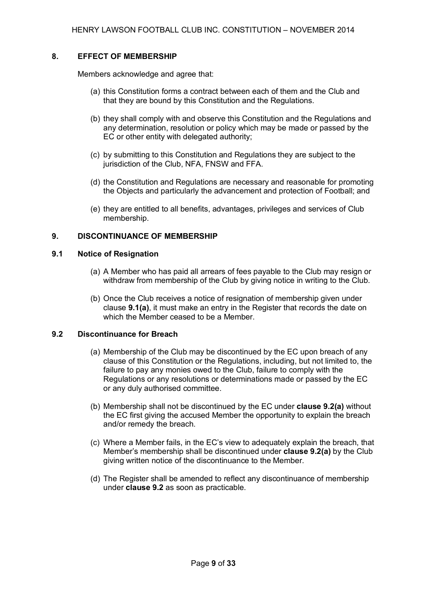## **8. EFFECT OF MEMBERSHIP**

Members acknowledge and agree that:

- (a) this Constitution forms a contract between each of them and the Club and that they are bound by this Constitution and the Regulations.
- (b) they shall comply with and observe this Constitution and the Regulations and any determination, resolution or policy which may be made or passed by the EC or other entity with delegated authority;
- (c) by submitting to this Constitution and Regulations they are subject to the jurisdiction of the Club, NFA, FNSW and FFA.
- (d) the Constitution and Regulations are necessary and reasonable for promoting the Objects and particularly the advancement and protection of Football; and
- (e) they are entitled to all benefits, advantages, privileges and services of Club membership.

#### **9. DISCONTINUANCE OF MEMBERSHIP**

## **9.1 Notice of Resignation**

- (a) A Member who has paid all arrears of fees payable to the Club may resign or withdraw from membership of the Club by giving notice in writing to the Club.
- (b) Once the Club receives a notice of resignation of membership given under clause **9.1(a)**, it must make an entry in the Register that records the date on which the Member ceased to be a Member.

#### **9.2 Discontinuance for Breach**

- (a) Membership of the Club may be discontinued by the EC upon breach of any clause of this Constitution or the Regulations, including, but not limited to, the failure to pay any monies owed to the Club, failure to comply with the Regulations or any resolutions or determinations made or passed by the EC or any duly authorised committee.
- (b) Membership shall not be discontinued by the EC under **clause 9.2(a)** without the EC first giving the accused Member the opportunity to explain the breach and/or remedy the breach.
- (c) Where a Member fails, in the EC's view to adequately explain the breach, that Member's membership shall be discontinued under **clause 9.2(a)** by the Club giving written notice of the discontinuance to the Member.
- (d) The Register shall be amended to reflect any discontinuance of membership under **clause 9.2** as soon as practicable.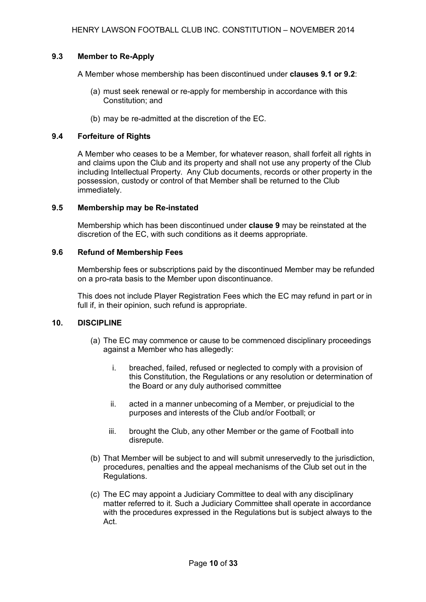## **9.3 Member to Re-Apply**

A Member whose membership has been discontinued under **clauses 9.1 or 9.2**:

- (a) must seek renewal or re-apply for membership in accordance with this Constitution; and
- (b) may be re-admitted at the discretion of the EC.

## **9.4 Forfeiture of Rights**

A Member who ceases to be a Member, for whatever reason, shall forfeit all rights in and claims upon the Club and its property and shall not use any property of the Club including Intellectual Property. Any Club documents, records or other property in the possession, custody or control of that Member shall be returned to the Club immediately.

## **9.5 Membership may be Re-instated**

Membership which has been discontinued under **clause 9** may be reinstated at the discretion of the EC, with such conditions as it deems appropriate.

## **9.6 Refund of Membership Fees**

Membership fees or subscriptions paid by the discontinued Member may be refunded on a pro-rata basis to the Member upon discontinuance.

This does not include Player Registration Fees which the EC may refund in part or in full if, in their opinion, such refund is appropriate.

## **10. DISCIPLINE**

- (a) The EC may commence or cause to be commenced disciplinary proceedings against a Member who has allegedly:
	- i. breached, failed, refused or neglected to comply with a provision of this Constitution, the Regulations or any resolution or determination of the Board or any duly authorised committee
	- ii. acted in a manner unbecoming of a Member, or prejudicial to the purposes and interests of the Club and/or Football; or
	- iii. brought the Club, any other Member or the game of Football into disrepute.
- (b) That Member will be subject to and will submit unreservedly to the jurisdiction, procedures, penalties and the appeal mechanisms of the Club set out in the Regulations.
- (c) The EC may appoint a Judiciary Committee to deal with any disciplinary matter referred to it. Such a Judiciary Committee shall operate in accordance with the procedures expressed in the Regulations but is subject always to the Act.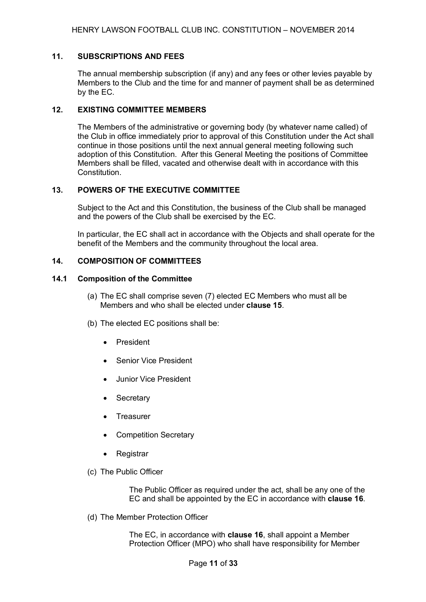#### **11. SUBSCRIPTIONS AND FEES**

The annual membership subscription (if any) and any fees or other levies payable by Members to the Club and the time for and manner of payment shall be as determined by the EC.

## **12. EXISTING COMMITTEE MEMBERS**

The Members of the administrative or governing body (by whatever name called) of the Club in office immediately prior to approval of this Constitution under the Act shall continue in those positions until the next annual general meeting following such adoption of this Constitution. After this General Meeting the positions of Committee Members shall be filled, vacated and otherwise dealt with in accordance with this **Constitution** 

#### **13. POWERS OF THE EXECUTIVE COMMITTEE**

Subject to the Act and this Constitution, the business of the Club shall be managed and the powers of the Club shall be exercised by the EC.

In particular, the EC shall act in accordance with the Objects and shall operate for the benefit of the Members and the community throughout the local area.

#### **14. COMPOSITION OF COMMITTEES**

#### **14.1 Composition of the Committee**

- (a) The EC shall comprise seven (7) elected EC Members who must all be Members and who shall be elected under **clause 15**.
- (b) The elected EC positions shall be:
	- President
	- **Senior Vice President**
	- Junior Vice President
	- Secretary
	- **Treasurer**
	- Competition Secretary
	- Registrar
- (c) The Public Officer

The Public Officer as required under the act, shall be any one of the EC and shall be appointed by the EC in accordance with **clause 16**.

(d) The Member Protection Officer

The EC, in accordance with **clause 16**, shall appoint a Member Protection Officer (MPO) who shall have responsibility for Member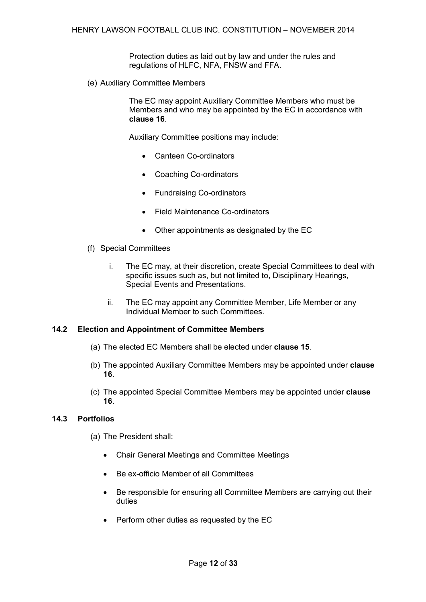Protection duties as laid out by law and under the rules and regulations of HLFC, NFA, FNSW and FFA.

(e) Auxiliary Committee Members

The EC may appoint Auxiliary Committee Members who must be Members and who may be appointed by the EC in accordance with **clause 16**.

Auxiliary Committee positions may include:

- Canteen Co-ordinators
- Coaching Co-ordinators
- Fundraising Co-ordinators
- Field Maintenance Co-ordinators
- Other appointments as designated by the EC
- (f) Special Committees
	- i. The EC may, at their discretion, create Special Committees to deal with specific issues such as, but not limited to, Disciplinary Hearings, Special Events and Presentations.
	- ii. The EC may appoint any Committee Member, Life Member or any Individual Member to such Committees.

#### **14.2 Election and Appointment of Committee Members**

- (a) The elected EC Members shall be elected under **clause 15**.
- (b) The appointed Auxiliary Committee Members may be appointed under **clause 16**.
- (c) The appointed Special Committee Members may be appointed under **clause 16**.

#### **14.3 Portfolios**

- (a) The President shall:
	- Chair General Meetings and Committee Meetings
	- Be ex-officio Member of all Committees
	- Be responsible for ensuring all Committee Members are carrying out their duties
	- Perform other duties as requested by the EC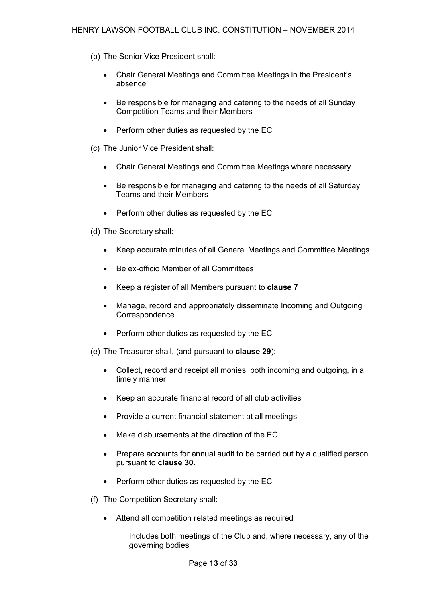- (b) The Senior Vice President shall:
	- Chair General Meetings and Committee Meetings in the President's absence
	- Be responsible for managing and catering to the needs of all Sunday Competition Teams and their Members
	- Perform other duties as requested by the EC
- (c) The Junior Vice President shall:
	- Chair General Meetings and Committee Meetings where necessary
	- Be responsible for managing and catering to the needs of all Saturday Teams and their Members
	- Perform other duties as requested by the EC
- (d) The Secretary shall:
	- Keep accurate minutes of all General Meetings and Committee Meetings
	- Be ex-officio Member of all Committees
	- Keep a register of all Members pursuant to **clause 7**
	- Manage, record and appropriately disseminate Incoming and Outgoing **Correspondence**
	- Perform other duties as requested by the EC

(e) The Treasurer shall, (and pursuant to **clause 29**):

- Collect, record and receipt all monies, both incoming and outgoing, in a timely manner
- Keep an accurate financial record of all club activities
- Provide a current financial statement at all meetings
- Make disbursements at the direction of the EC
- Prepare accounts for annual audit to be carried out by a qualified person pursuant to **clause 30.**
- Perform other duties as requested by the EC
- (f) The Competition Secretary shall:
	- Attend all competition related meetings as required

Includes both meetings of the Club and, where necessary, any of the governing bodies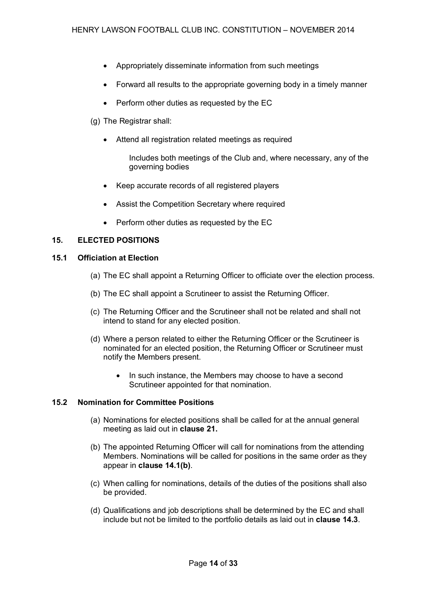- Appropriately disseminate information from such meetings
- Forward all results to the appropriate governing body in a timely manner
- Perform other duties as requested by the EC
- (g) The Registrar shall:
	- Attend all registration related meetings as required
		- Includes both meetings of the Club and, where necessary, any of the governing bodies
	- Keep accurate records of all registered players
	- Assist the Competition Secretary where required
	- Perform other duties as requested by the EC

## **15. ELECTED POSITIONS**

#### **15.1 Officiation at Election**

- (a) The EC shall appoint a Returning Officer to officiate over the election process.
- (b) The EC shall appoint a Scrutineer to assist the Returning Officer.
- (c) The Returning Officer and the Scrutineer shall not be related and shall not intend to stand for any elected position.
- (d) Where a person related to either the Returning Officer or the Scrutineer is nominated for an elected position, the Returning Officer or Scrutineer must notify the Members present.
	- In such instance, the Members may choose to have a second Scrutineer appointed for that nomination.

## **15.2 Nomination for Committee Positions**

- (a) Nominations for elected positions shall be called for at the annual general meeting as laid out in **clause 21.**
- (b) The appointed Returning Officer will call for nominations from the attending Members. Nominations will be called for positions in the same order as they appear in **clause 14.1(b)**.
- (c) When calling for nominations, details of the duties of the positions shall also be provided.
- (d) Qualifications and job descriptions shall be determined by the EC and shall include but not be limited to the portfolio details as laid out in **clause 14.3**.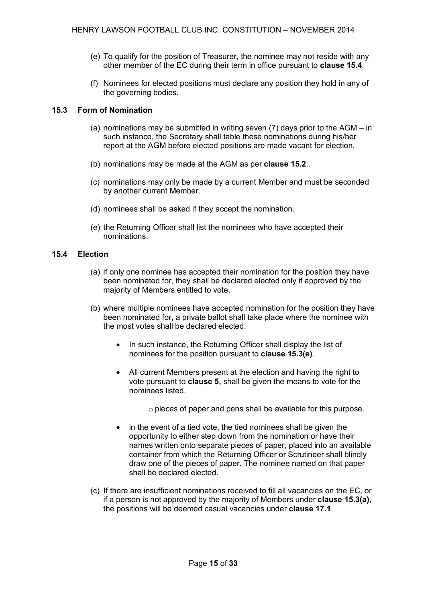- (e) To qualify for the position of Treasurer, the nominee may not reside with any other member of the EC during their term in office pursuant to **clause 15.4**.
- (f) Nominees for elected positions must declare any position they hold in any of the governing bodies.

## **15.3 Form of Nomination**

- (a) nominations may be submitted in writing seven (7) days prior to the AGM in such instance, the Secretary shall table these nominations during his/her report at the AGM before elected positions are made vacant for election.
- (b) nominations may be made at the AGM as per **clause 15.2**..
- (c) nominations may only be made by a current Member and must be seconded by another current Member.
- (d) nominees shall be asked if they accept the nomination.
- (e) the Returning Officer shall list the nominees who have accepted their nominations.

## **15.4 Election**

- (a) if only one nominee has accepted their nomination for the position they have been nominated for, they shall be declared elected only if approved by the majority of Members entitled to vote.
- (b) where multiple nominees have accepted nomination for the position they have been nominated for, a private ballot shall take place where the nominee with the most votes shall be declared elected.
	- In such instance, the Returning Officer shall display the list of nominees for the position pursuant to **clause 15.3(e)**.
	- All current Members present at the election and having the right to vote pursuant to **clause 5,** shall be given the means to vote for the nominees listed.

o pieces of paper and pens shall be available for this purpose.

- in the event of a tied vote, the tied nominees shall be given the opportunity to either step down from the nomination or have their names written onto separate pieces of paper, placed into an available container from which the Returning Officer or Scrutineer shall blindly draw one of the pieces of paper. The nominee named on that paper shall be declared elected.
- (c) If there are insufficient nominations received to fill all vacancies on the EC, or if a person is not approved by the majority of Members under **clause 15.3(a)**, the positions will be deemed casual vacancies under **clause 17.1**.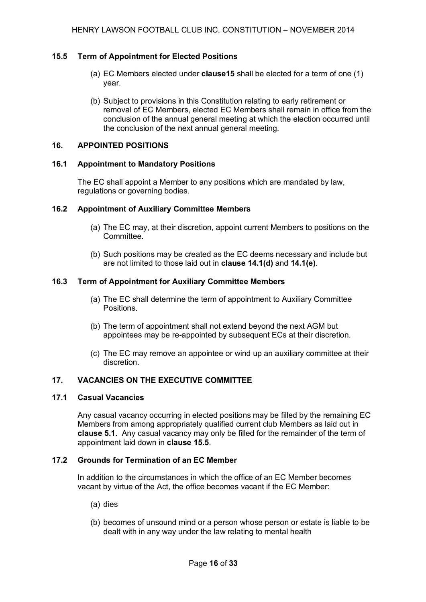#### **15.5 Term of Appointment for Elected Positions**

- (a) EC Members elected under **clause15** shall be elected for a term of one (1) year.
- (b) Subject to provisions in this Constitution relating to early retirement or removal of EC Members, elected EC Members shall remain in office from the conclusion of the annual general meeting at which the election occurred until the conclusion of the next annual general meeting.

#### **16. APPOINTED POSITIONS**

#### **16.1 Appointment to Mandatory Positions**

The EC shall appoint a Member to any positions which are mandated by law, regulations or governing bodies.

#### **16.2 Appointment of Auxiliary Committee Members**

- (a) The EC may, at their discretion, appoint current Members to positions on the Committee.
- (b) Such positions may be created as the EC deems necessary and include but are not limited to those laid out in **clause 14.1(d)** and **14.1(e)**.

#### **16.3 Term of Appointment for Auxiliary Committee Members**

- (a) The EC shall determine the term of appointment to Auxiliary Committee Positions.
- (b) The term of appointment shall not extend beyond the next AGM but appointees may be re-appointed by subsequent ECs at their discretion.
- (c) The EC may remove an appointee or wind up an auxiliary committee at their discretion.

#### **17. VACANCIES ON THE EXECUTIVE COMMITTEE**

#### **17.1 Casual Vacancies**

Any casual vacancy occurring in elected positions may be filled by the remaining EC Members from among appropriately qualified current club Members as laid out in **clause 5.1**. Any casual vacancy may only be filled for the remainder of the term of appointment laid down in **clause 15.5**.

#### **17.2 Grounds for Termination of an EC Member**

In addition to the circumstances in which the office of an EC Member becomes vacant by virtue of the Act, the office becomes vacant if the EC Member:

- (a) dies
- (b) becomes of unsound mind or a person whose person or estate is liable to be dealt with in any way under the law relating to mental health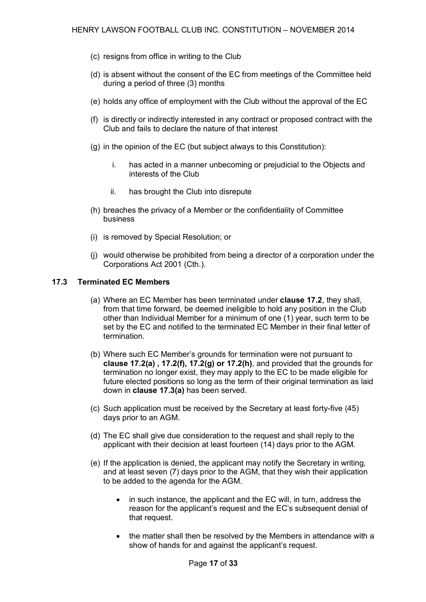- (c) resigns from office in writing to the Club
- (d) is absent without the consent of the EC from meetings of the Committee held during a period of three (3) months
- (e) holds any office of employment with the Club without the approval of the EC
- (f) is directly or indirectly interested in any contract or proposed contract with the Club and fails to declare the nature of that interest
- (g) in the opinion of the EC (but subject always to this Constitution):
	- i. has acted in a manner unbecoming or prejudicial to the Objects and interests of the Club
	- ii. has brought the Club into disrepute
- (h) breaches the privacy of a Member or the confidentiality of Committee business
- (i) is removed by Special Resolution; or
- (j) would otherwise be prohibited from being a director of a corporation under the Corporations Act 2001 (Cth.).

#### **17.3 Terminated EC Members**

- (a) Where an EC Member has been terminated under **clause 17.2**, they shall, from that time forward, be deemed ineligible to hold any position in the Club other than Individual Member for a minimum of one (1) year, such term to be set by the EC and notified to the terminated EC Member in their final letter of termination.
- (b) Where such EC Member's grounds for termination were not pursuant to **clause 17.2(a) , 17.2(f), 17.2(g) or 17.2(h)**, and provided that the grounds for termination no longer exist, they may apply to the EC to be made eligible for future elected positions so long as the term of their original termination as laid down in **clause 17.3(a)** has been served.
- (c) Such application must be received by the Secretary at least forty-five (45) days prior to an AGM.
- (d) The EC shall give due consideration to the request and shall reply to the applicant with their decision at least fourteen (14) days prior to the AGM.
- (e) If the application is denied, the applicant may notify the Secretary in writing, and at least seven (7) days prior to the AGM, that they wish their application to be added to the agenda for the AGM.
	- in such instance, the applicant and the EC will, in turn, address the reason for the applicant's request and the EC's subsequent denial of that request.
	- the matter shall then be resolved by the Members in attendance with a show of hands for and against the applicant's request.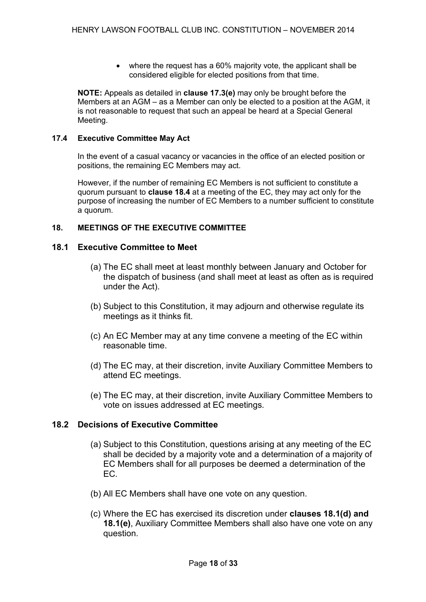• where the request has a 60% majority vote, the applicant shall be considered eligible for elected positions from that time.

**NOTE:** Appeals as detailed in **clause 17.3(e)** may only be brought before the Members at an AGM – as a Member can only be elected to a position at the AGM, it is not reasonable to request that such an appeal be heard at a Special General Meeting.

## **17.4 Executive Committee May Act**

In the event of a casual vacancy or vacancies in the office of an elected position or positions, the remaining EC Members may act.

However, if the number of remaining EC Members is not sufficient to constitute a quorum pursuant to **clause 18.4** at a meeting of the EC, they may act only for the purpose of increasing the number of EC Members to a number sufficient to constitute a quorum.

## **18. MEETINGS OF THE EXECUTIVE COMMITTEE**

## **18.1 Executive Committee to Meet**

- (a) The EC shall meet at least monthly between January and October for the dispatch of business (and shall meet at least as often as is required under the Act).
- (b) Subject to this Constitution, it may adjourn and otherwise regulate its meetings as it thinks fit.
- (c) An EC Member may at any time convene a meeting of the EC within reasonable time.
- (d) The EC may, at their discretion, invite Auxiliary Committee Members to attend EC meetings.
- (e) The EC may, at their discretion, invite Auxiliary Committee Members to vote on issues addressed at EC meetings.

# **18.2 Decisions of Executive Committee**

- (a) Subject to this Constitution, questions arising at any meeting of the EC shall be decided by a majority vote and a determination of a majority of EC Members shall for all purposes be deemed a determination of the EC.
- (b) All EC Members shall have one vote on any question.
- (c) Where the EC has exercised its discretion under **clauses 18.1(d) and 18.1(e)**, Auxiliary Committee Members shall also have one vote on any question.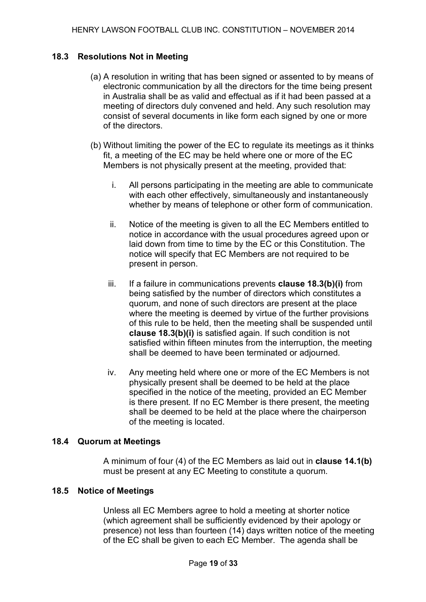# **18.3 Resolutions Not in Meeting**

- (a) A resolution in writing that has been signed or assented to by means of electronic communication by all the directors for the time being present in Australia shall be as valid and effectual as if it had been passed at a meeting of directors duly convened and held. Any such resolution may consist of several documents in like form each signed by one or more of the directors.
- (b) Without limiting the power of the EC to regulate its meetings as it thinks fit, a meeting of the EC may be held where one or more of the EC Members is not physically present at the meeting, provided that:
	- i. All persons participating in the meeting are able to communicate with each other effectively, simultaneously and instantaneously whether by means of telephone or other form of communication.
	- ii. Notice of the meeting is given to all the EC Members entitled to notice in accordance with the usual procedures agreed upon or laid down from time to time by the EC or this Constitution. The notice will specify that EC Members are not required to be present in person.
	- iii. If a failure in communications prevents **clause 18.3(b)(i)** from being satisfied by the number of directors which constitutes a quorum, and none of such directors are present at the place where the meeting is deemed by virtue of the further provisions of this rule to be held, then the meeting shall be suspended until **clause 18.3(b)(i)** is satisfied again. If such condition is not satisfied within fifteen minutes from the interruption, the meeting shall be deemed to have been terminated or adjourned.
	- iv. Any meeting held where one or more of the EC Members is not physically present shall be deemed to be held at the place specified in the notice of the meeting, provided an EC Member is there present. If no EC Member is there present, the meeting shall be deemed to be held at the place where the chairperson of the meeting is located.

# **18.4 Quorum at Meetings**

A minimum of four (4) of the EC Members as laid out in **clause 14.1(b)** must be present at any EC Meeting to constitute a quorum.

# **18.5 Notice of Meetings**

Unless all EC Members agree to hold a meeting at shorter notice (which agreement shall be sufficiently evidenced by their apology or presence) not less than fourteen (14) days written notice of the meeting of the EC shall be given to each EC Member. The agenda shall be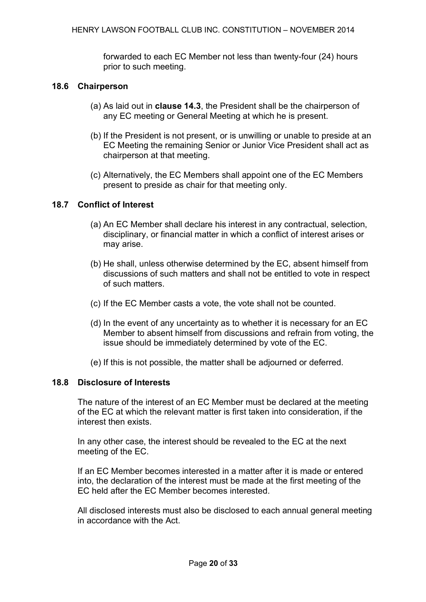forwarded to each EC Member not less than twenty-four (24) hours prior to such meeting.

# **18.6 Chairperson**

- (a) As laid out in **clause 14.3**, the President shall be the chairperson of any EC meeting or General Meeting at which he is present.
- (b) If the President is not present, or is unwilling or unable to preside at an EC Meeting the remaining Senior or Junior Vice President shall act as chairperson at that meeting.
- (c) Alternatively, the EC Members shall appoint one of the EC Members present to preside as chair for that meeting only.

# **18.7 Conflict of Interest**

- (a) An EC Member shall declare his interest in any contractual, selection, disciplinary, or financial matter in which a conflict of interest arises or may arise.
- (b) He shall, unless otherwise determined by the EC, absent himself from discussions of such matters and shall not be entitled to vote in respect of such matters.
- (c) If the EC Member casts a vote, the vote shall not be counted.
- (d) In the event of any uncertainty as to whether it is necessary for an EC Member to absent himself from discussions and refrain from voting, the issue should be immediately determined by vote of the EC.
- (e) If this is not possible, the matter shall be adjourned or deferred.

# **18.8 Disclosure of Interests**

The nature of the interest of an EC Member must be declared at the meeting of the EC at which the relevant matter is first taken into consideration, if the interest then exists.

In any other case, the interest should be revealed to the EC at the next meeting of the EC.

If an EC Member becomes interested in a matter after it is made or entered into, the declaration of the interest must be made at the first meeting of the EC held after the EC Member becomes interested.

All disclosed interests must also be disclosed to each annual general meeting in accordance with the Act.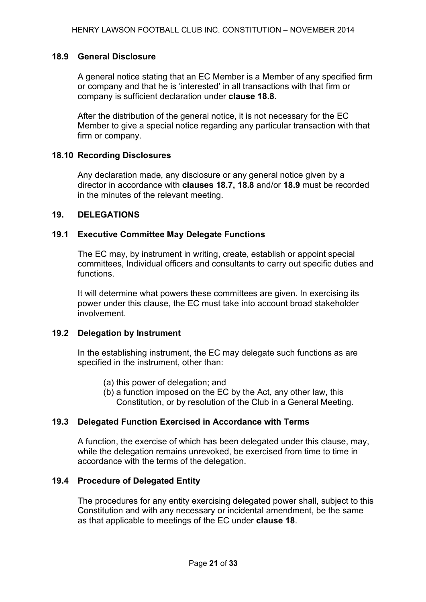# **18.9 General Disclosure**

A general notice stating that an EC Member is a Member of any specified firm or company and that he is 'interested' in all transactions with that firm or company is sufficient declaration under **clause 18.8**.

After the distribution of the general notice, it is not necessary for the EC Member to give a special notice regarding any particular transaction with that firm or company.

## **18.10 Recording Disclosures**

Any declaration made, any disclosure or any general notice given by a director in accordance with **clauses 18.7, 18.8** and/or **18.9** must be recorded in the minutes of the relevant meeting.

## **19. DELEGATIONS**

## **19.1 Executive Committee May Delegate Functions**

The EC may, by instrument in writing, create, establish or appoint special committees, Individual officers and consultants to carry out specific duties and functions.

It will determine what powers these committees are given. In exercising its power under this clause, the EC must take into account broad stakeholder involvement.

# **19.2 Delegation by Instrument**

In the establishing instrument, the EC may delegate such functions as are specified in the instrument, other than:

- (a) this power of delegation; and
- (b) a function imposed on the EC by the Act, any other law, this Constitution, or by resolution of the Club in a General Meeting.

# **19.3 Delegated Function Exercised in Accordance with Terms**

A function, the exercise of which has been delegated under this clause, may, while the delegation remains unrevoked, be exercised from time to time in accordance with the terms of the delegation.

# **19.4 Procedure of Delegated Entity**

The procedures for any entity exercising delegated power shall, subject to this Constitution and with any necessary or incidental amendment, be the same as that applicable to meetings of the EC under **clause 18**.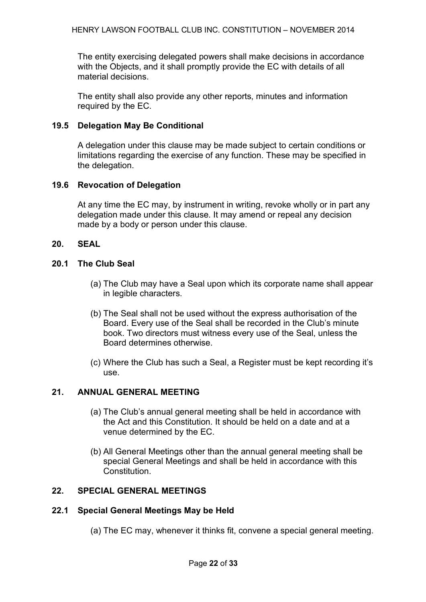The entity exercising delegated powers shall make decisions in accordance with the Objects, and it shall promptly provide the EC with details of all material decisions.

The entity shall also provide any other reports, minutes and information required by the EC.

# **19.5 Delegation May Be Conditional**

A delegation under this clause may be made subject to certain conditions or limitations regarding the exercise of any function. These may be specified in the delegation.

# **19.6 Revocation of Delegation**

At any time the EC may, by instrument in writing, revoke wholly or in part any delegation made under this clause. It may amend or repeal any decision made by a body or person under this clause.

# **20. SEAL**

# **20.1 The Club Seal**

- (a) The Club may have a Seal upon which its corporate name shall appear in legible characters.
- (b) The Seal shall not be used without the express authorisation of the Board. Every use of the Seal shall be recorded in the Club's minute book. Two directors must witness every use of the Seal, unless the Board determines otherwise.
- (c) Where the Club has such a Seal, a Register must be kept recording it's use.

# **21. ANNUAL GENERAL MEETING**

- (a) The Club's annual general meeting shall be held in accordance with the Act and this Constitution. It should be held on a date and at a venue determined by the EC.
- (b) All General Meetings other than the annual general meeting shall be special General Meetings and shall be held in accordance with this Constitution.

# **22. SPECIAL GENERAL MEETINGS**

# **22.1 Special General Meetings May be Held**

(a) The EC may, whenever it thinks fit, convene a special general meeting.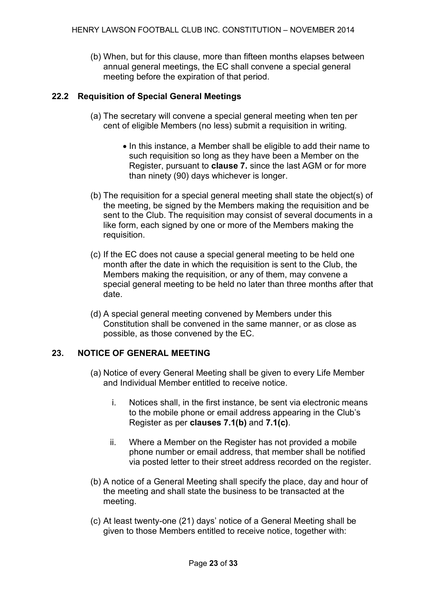(b) When, but for this clause, more than fifteen months elapses between annual general meetings, the EC shall convene a special general meeting before the expiration of that period.

# **22.2 Requisition of Special General Meetings**

- (a) The secretary will convene a special general meeting when ten per cent of eligible Members (no less) submit a requisition in writing.
	- In this instance, a Member shall be eligible to add their name to such requisition so long as they have been a Member on the Register, pursuant to **clause 7.** since the last AGM or for more than ninety (90) days whichever is longer.
- (b) The requisition for a special general meeting shall state the object(s) of the meeting, be signed by the Members making the requisition and be sent to the Club. The requisition may consist of several documents in a like form, each signed by one or more of the Members making the requisition.
- (c) If the EC does not cause a special general meeting to be held one month after the date in which the requisition is sent to the Club, the Members making the requisition, or any of them, may convene a special general meeting to be held no later than three months after that date.
- (d) A special general meeting convened by Members under this Constitution shall be convened in the same manner, or as close as possible, as those convened by the EC.

# **23. NOTICE OF GENERAL MEETING**

- (a) Notice of every General Meeting shall be given to every Life Member and Individual Member entitled to receive notice.
	- i. Notices shall, in the first instance, be sent via electronic means to the mobile phone or email address appearing in the Club's Register as per **clauses 7.1(b)** and **7.1(c)**.
	- ii. Where a Member on the Register has not provided a mobile phone number or email address, that member shall be notified via posted letter to their street address recorded on the register.
- (b) A notice of a General Meeting shall specify the place, day and hour of the meeting and shall state the business to be transacted at the meeting.
- (c) At least twenty-one (21) days' notice of a General Meeting shall be given to those Members entitled to receive notice, together with: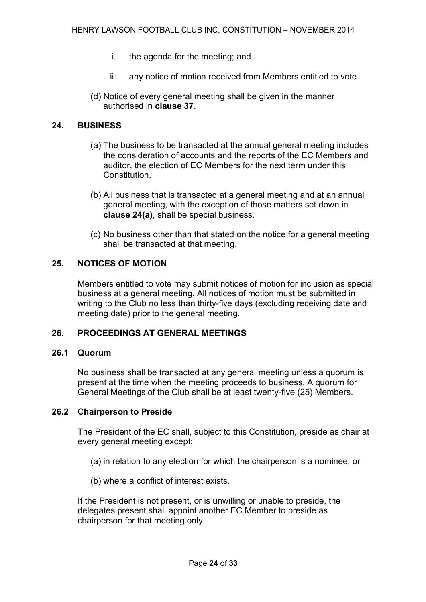- i. the agenda for the meeting; and
- ii. any notice of motion received from Members entitled to vote.
- (d) Notice of every general meeting shall be given in the manner authorised in **clause 37**.

# **24. BUSINESS**

- (a) The business to be transacted at the annual general meeting includes the consideration of accounts and the reports of the EC Members and auditor, the election of EC Members for the next term under this **Constitution**
- (b) All business that is transacted at a general meeting and at an annual general meeting, with the exception of those matters set down in **clause 24(a)**, shall be special business.
- (c) No business other than that stated on the notice for a general meeting shall be transacted at that meeting.

# **25. NOTICES OF MOTION**

Members entitled to vote may submit notices of motion for inclusion as special business at a general meeting. All notices of motion must be submitted in writing to the Club no less than thirty-five days (excluding receiving date and meeting date) prior to the general meeting.

# **26. PROCEEDINGS AT GENERAL MEETINGS**

# **26.1 Quorum**

No business shall be transacted at any general meeting unless a quorum is present at the time when the meeting proceeds to business. A quorum for General Meetings of the Club shall be at least twenty-five (25) Members.

## **26.2 Chairperson to Preside**

The President of the EC shall, subject to this Constitution, preside as chair at every general meeting except:

- (a) in relation to any election for which the chairperson is a nominee; or
- (b) where a conflict of interest exists.

If the President is not present, or is unwilling or unable to preside, the delegates present shall appoint another EC Member to preside as chairperson for that meeting only.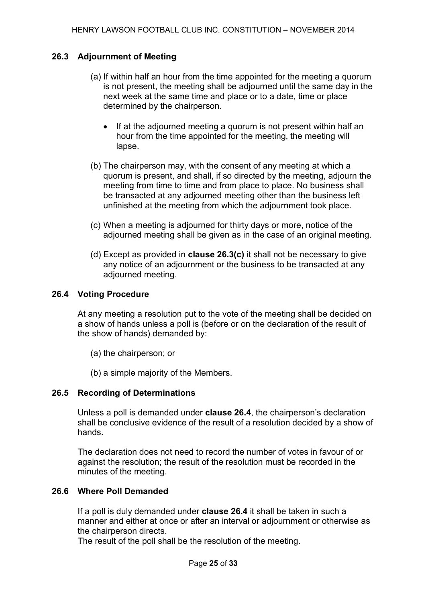# **26.3 Adjournment of Meeting**

- (a) If within half an hour from the time appointed for the meeting a quorum is not present, the meeting shall be adjourned until the same day in the next week at the same time and place or to a date, time or place determined by the chairperson.
	- If at the adjourned meeting a quorum is not present within half an hour from the time appointed for the meeting, the meeting will lapse.
- (b) The chairperson may, with the consent of any meeting at which a quorum is present, and shall, if so directed by the meeting, adjourn the meeting from time to time and from place to place. No business shall be transacted at any adjourned meeting other than the business left unfinished at the meeting from which the adjournment took place.
- (c) When a meeting is adjourned for thirty days or more, notice of the adjourned meeting shall be given as in the case of an original meeting.
- (d) Except as provided in **clause 26.3(c)** it shall not be necessary to give any notice of an adjournment or the business to be transacted at any adjourned meeting.

# **26.4 Voting Procedure**

At any meeting a resolution put to the vote of the meeting shall be decided on a show of hands unless a poll is (before or on the declaration of the result of the show of hands) demanded by:

- (a) the chairperson; or
- (b) a simple majority of the Members.

## **26.5 Recording of Determinations**

Unless a poll is demanded under **clause 26.4**, the chairperson's declaration shall be conclusive evidence of the result of a resolution decided by a show of hands.

The declaration does not need to record the number of votes in favour of or against the resolution; the result of the resolution must be recorded in the minutes of the meeting.

# **26.6 Where Poll Demanded**

If a poll is duly demanded under **clause 26.4** it shall be taken in such a manner and either at once or after an interval or adjournment or otherwise as the chairperson directs.

The result of the poll shall be the resolution of the meeting.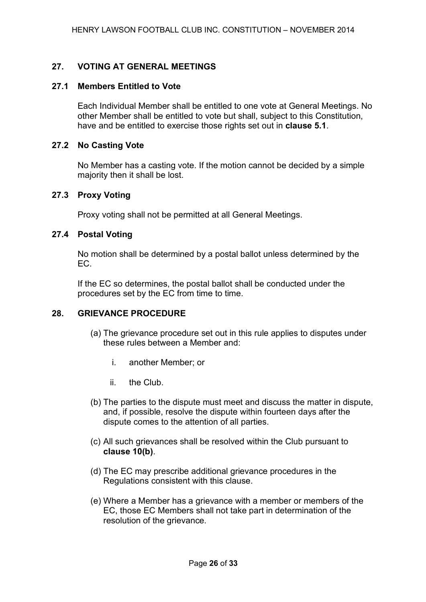# **27. VOTING AT GENERAL MEETINGS**

## **27.1 Members Entitled to Vote**

Each Individual Member shall be entitled to one vote at General Meetings. No other Member shall be entitled to vote but shall, subject to this Constitution, have and be entitled to exercise those rights set out in **clause 5.1**.

## **27.2 No Casting Vote**

No Member has a casting vote. If the motion cannot be decided by a simple majority then it shall be lost.

## **27.3 Proxy Voting**

Proxy voting shall not be permitted at all General Meetings.

## **27.4 Postal Voting**

No motion shall be determined by a postal ballot unless determined by the EC.

If the EC so determines, the postal ballot shall be conducted under the procedures set by the EC from time to time.

# **28. GRIEVANCE PROCEDURE**

- (a) The grievance procedure set out in this rule applies to disputes under these rules between a Member and:
	- i. another Member; or
	- ii. the Club.
- (b) The parties to the dispute must meet and discuss the matter in dispute, and, if possible, resolve the dispute within fourteen days after the dispute comes to the attention of all parties.
- (c) All such grievances shall be resolved within the Club pursuant to **clause 10(b)**.
- (d) The EC may prescribe additional grievance procedures in the Regulations consistent with this clause.
- (e) Where a Member has a grievance with a member or members of the EC, those EC Members shall not take part in determination of the resolution of the grievance.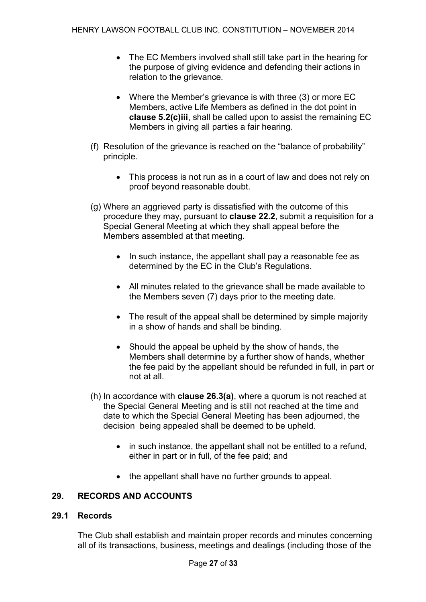- The EC Members involved shall still take part in the hearing for the purpose of giving evidence and defending their actions in relation to the grievance.
- Where the Member's grievance is with three (3) or more EC Members, active Life Members as defined in the dot point in **clause 5.2(c)iii**, shall be called upon to assist the remaining EC Members in giving all parties a fair hearing.
- (f) Resolution of the grievance is reached on the "balance of probability" principle.
	- This process is not run as in a court of law and does not rely on proof beyond reasonable doubt.
- (g) Where an aggrieved party is dissatisfied with the outcome of this procedure they may, pursuant to **clause 22.2**, submit a requisition for a Special General Meeting at which they shall appeal before the Members assembled at that meeting.
	- In such instance, the appellant shall pay a reasonable fee as determined by the EC in the Club's Regulations.
	- All minutes related to the grievance shall be made available to the Members seven (7) days prior to the meeting date.
	- The result of the appeal shall be determined by simple majority in a show of hands and shall be binding.
	- Should the appeal be upheld by the show of hands, the Members shall determine by a further show of hands, whether the fee paid by the appellant should be refunded in full, in part or not at all.
- (h) In accordance with **clause 26.3(a)**, where a quorum is not reached at the Special General Meeting and is still not reached at the time and date to which the Special General Meeting has been adjourned, the decision being appealed shall be deemed to be upheld.
	- in such instance, the appellant shall not be entitled to a refund, either in part or in full, of the fee paid; and
	- the appellant shall have no further grounds to appeal.

# **29. RECORDS AND ACCOUNTS**

# **29.1 Records**

The Club shall establish and maintain proper records and minutes concerning all of its transactions, business, meetings and dealings (including those of the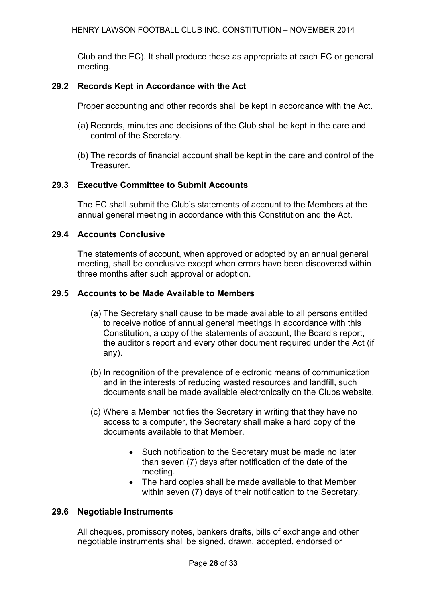Club and the EC). It shall produce these as appropriate at each EC or general meeting.

# **29.2 Records Kept in Accordance with the Act**

Proper accounting and other records shall be kept in accordance with the Act.

- (a) Records, minutes and decisions of the Club shall be kept in the care and control of the Secretary.
- (b) The records of financial account shall be kept in the care and control of the Treasurer.

# **29.3 Executive Committee to Submit Accounts**

The EC shall submit the Club's statements of account to the Members at the annual general meeting in accordance with this Constitution and the Act.

# **29.4 Accounts Conclusive**

The statements of account, when approved or adopted by an annual general meeting, shall be conclusive except when errors have been discovered within three months after such approval or adoption.

# **29.5 Accounts to be Made Available to Members**

- (a) The Secretary shall cause to be made available to all persons entitled to receive notice of annual general meetings in accordance with this Constitution, a copy of the statements of account, the Board's report, the auditor's report and every other document required under the Act (if any).
- (b) In recognition of the prevalence of electronic means of communication and in the interests of reducing wasted resources and landfill, such documents shall be made available electronically on the Clubs website.
- (c) Where a Member notifies the Secretary in writing that they have no access to a computer, the Secretary shall make a hard copy of the documents available to that Member.
	- Such notification to the Secretary must be made no later than seven (7) days after notification of the date of the meeting.
	- The hard copies shall be made available to that Member within seven (7) days of their notification to the Secretary.

# **29.6 Negotiable Instruments**

All cheques, promissory notes, bankers drafts, bills of exchange and other negotiable instruments shall be signed, drawn, accepted, endorsed or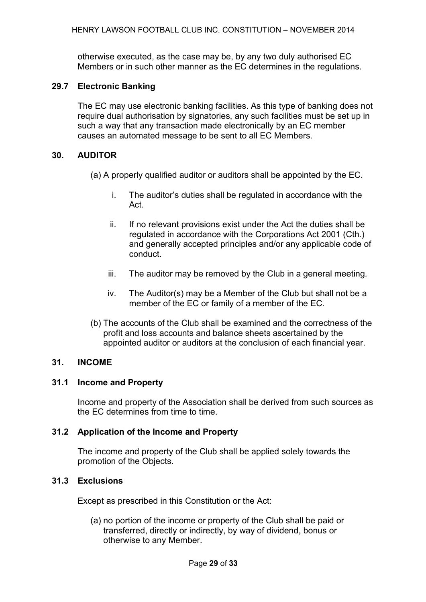otherwise executed, as the case may be, by any two duly authorised EC Members or in such other manner as the EC determines in the regulations.

# **29.7 Electronic Banking**

The EC may use electronic banking facilities. As this type of banking does not require dual authorisation by signatories, any such facilities must be set up in such a way that any transaction made electronically by an EC member causes an automated message to be sent to all EC Members.

## **30. AUDITOR**

(a) A properly qualified auditor or auditors shall be appointed by the EC.

- i. The auditor's duties shall be regulated in accordance with the Act.
- ii. If no relevant provisions exist under the Act the duties shall be regulated in accordance with the Corporations Act 2001 (Cth.) and generally accepted principles and/or any applicable code of conduct.
- iii. The auditor may be removed by the Club in a general meeting.
- iv. The Auditor(s) may be a Member of the Club but shall not be a member of the EC or family of a member of the EC.
- (b) The accounts of the Club shall be examined and the correctness of the profit and loss accounts and balance sheets ascertained by the appointed auditor or auditors at the conclusion of each financial year.

# **31. INCOME**

# **31.1 Income and Property**

Income and property of the Association shall be derived from such sources as the EC determines from time to time.

# **31.2 Application of the Income and Property**

The income and property of the Club shall be applied solely towards the promotion of the Objects.

# **31.3 Exclusions**

Except as prescribed in this Constitution or the Act:

(a) no portion of the income or property of the Club shall be paid or transferred, directly or indirectly, by way of dividend, bonus or otherwise to any Member.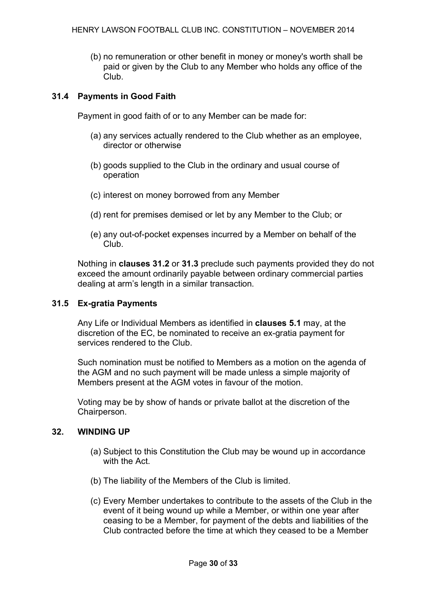(b) no remuneration or other benefit in money or money's worth shall be paid or given by the Club to any Member who holds any office of the Club.

# **31.4 Payments in Good Faith**

Payment in good faith of or to any Member can be made for:

- (a) any services actually rendered to the Club whether as an employee, director or otherwise
- (b) goods supplied to the Club in the ordinary and usual course of operation
- (c) interest on money borrowed from any Member
- (d) rent for premises demised or let by any Member to the Club; or
- (e) any out-of-pocket expenses incurred by a Member on behalf of the Club.

Nothing in **clauses 31.2** or **31.3** preclude such payments provided they do not exceed the amount ordinarily payable between ordinary commercial parties dealing at arm's length in a similar transaction.

## **31.5 Ex-gratia Payments**

Any Life or Individual Members as identified in **clauses 5.1** may, at the discretion of the EC, be nominated to receive an ex-gratia payment for services rendered to the Club.

Such nomination must be notified to Members as a motion on the agenda of the AGM and no such payment will be made unless a simple majority of Members present at the AGM votes in favour of the motion.

Voting may be by show of hands or private ballot at the discretion of the Chairperson.

# **32. WINDING UP**

- (a) Subject to this Constitution the Club may be wound up in accordance with the Act.
- (b) The liability of the Members of the Club is limited.
- (c) Every Member undertakes to contribute to the assets of the Club in the event of it being wound up while a Member, or within one year after ceasing to be a Member, for payment of the debts and liabilities of the Club contracted before the time at which they ceased to be a Member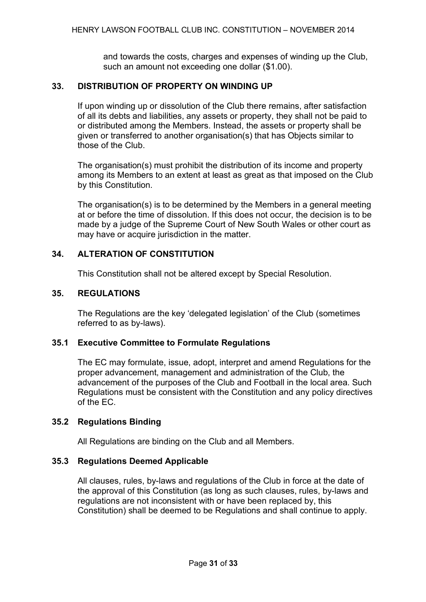and towards the costs, charges and expenses of winding up the Club, such an amount not exceeding one dollar (\$1.00).

# **33. DISTRIBUTION OF PROPERTY ON WINDING UP**

If upon winding up or dissolution of the Club there remains, after satisfaction of all its debts and liabilities, any assets or property, they shall not be paid to or distributed among the Members. Instead, the assets or property shall be given or transferred to another organisation(s) that has Objects similar to those of the Club.

The organisation(s) must prohibit the distribution of its income and property among its Members to an extent at least as great as that imposed on the Club by this Constitution.

The organisation(s) is to be determined by the Members in a general meeting at or before the time of dissolution. If this does not occur, the decision is to be made by a judge of the Supreme Court of New South Wales or other court as may have or acquire jurisdiction in the matter.

# **34. ALTERATION OF CONSTITUTION**

This Constitution shall not be altered except by Special Resolution.

# **35. REGULATIONS**

The Regulations are the key 'delegated legislation' of the Club (sometimes referred to as by-laws).

# **35.1 Executive Committee to Formulate Regulations**

The EC may formulate, issue, adopt, interpret and amend Regulations for the proper advancement, management and administration of the Club, the advancement of the purposes of the Club and Football in the local area. Such Regulations must be consistent with the Constitution and any policy directives of the EC.

# **35.2 Regulations Binding**

All Regulations are binding on the Club and all Members.

# **35.3 Regulations Deemed Applicable**

All clauses, rules, by-laws and regulations of the Club in force at the date of the approval of this Constitution (as long as such clauses, rules, by-laws and regulations are not inconsistent with or have been replaced by, this Constitution) shall be deemed to be Regulations and shall continue to apply.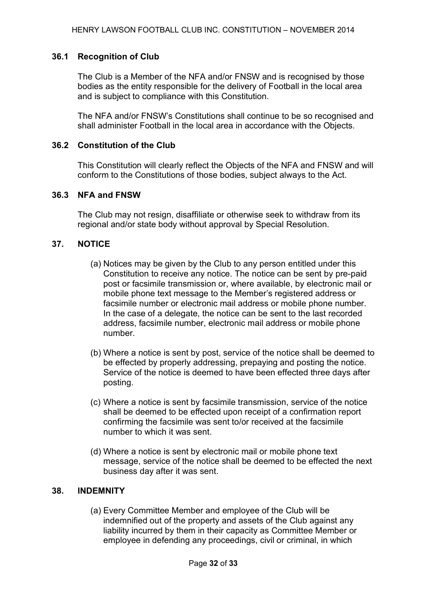# **36.1 Recognition of Club**

The Club is a Member of the NFA and/or FNSW and is recognised by those bodies as the entity responsible for the delivery of Football in the local area and is subject to compliance with this Constitution.

The NFA and/or FNSW's Constitutions shall continue to be so recognised and shall administer Football in the local area in accordance with the Objects.

## **36.2 Constitution of the Club**

This Constitution will clearly reflect the Objects of the NFA and FNSW and will conform to the Constitutions of those bodies, subject always to the Act.

## **36.3 NFA and FNSW**

The Club may not resign, disaffiliate or otherwise seek to withdraw from its regional and/or state body without approval by Special Resolution.

## **37. NOTICE**

- (a) Notices may be given by the Club to any person entitled under this Constitution to receive any notice. The notice can be sent by pre-paid post or facsimile transmission or, where available, by electronic mail or mobile phone text message to the Member's registered address or facsimile number or electronic mail address or mobile phone number. In the case of a delegate, the notice can be sent to the last recorded address, facsimile number, electronic mail address or mobile phone number.
- (b) Where a notice is sent by post, service of the notice shall be deemed to be effected by properly addressing, prepaying and posting the notice. Service of the notice is deemed to have been effected three days after posting.
- (c) Where a notice is sent by facsimile transmission, service of the notice shall be deemed to be effected upon receipt of a confirmation report confirming the facsimile was sent to/or received at the facsimile number to which it was sent.
- (d) Where a notice is sent by electronic mail or mobile phone text message, service of the notice shall be deemed to be effected the next business day after it was sent.

# **38. INDEMNITY**

(a) Every Committee Member and employee of the Club will be indemnified out of the property and assets of the Club against any liability incurred by them in their capacity as Committee Member or employee in defending any proceedings, civil or criminal, in which